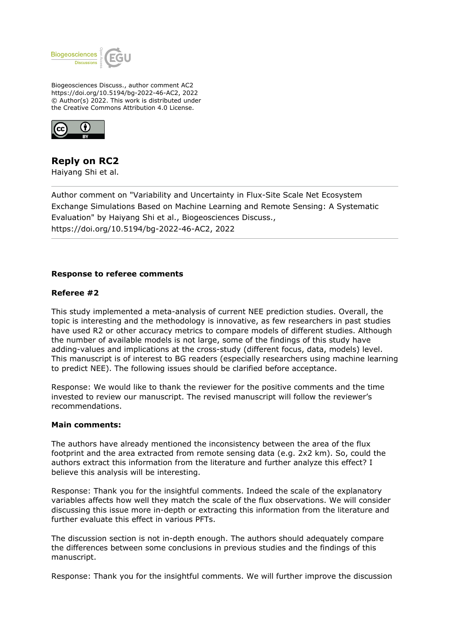

Biogeosciences Discuss., author comment AC2 https://doi.org/10.5194/bg-2022-46-AC2, 2022 © Author(s) 2022. This work is distributed under the Creative Commons Attribution 4.0 License.



# **Reply on RC2**

Haiyang Shi et al.

Author comment on "Variability and Uncertainty in Flux-Site Scale Net Ecosystem Exchange Simulations Based on Machine Learning and Remote Sensing: A Systematic Evaluation" by Haiyang Shi et al., Biogeosciences Discuss., https://doi.org/10.5194/bg-2022-46-AC2, 2022

# **Response to referee comments**

# **Referee #2**

This study implemented a meta-analysis of current NEE prediction studies. Overall, the topic is interesting and the methodology is innovative, as few researchers in past studies have used R2 or other accuracy metrics to compare models of different studies. Although the number of available models is not large, some of the findings of this study have adding-values and implications at the cross-study (different focus, data, models) level. This manuscript is of interest to BG readers (especially researchers using machine learning to predict NEE). The following issues should be clarified before acceptance.

Response: We would like to thank the reviewer for the positive comments and the time invested to review our manuscript. The revised manuscript will follow the reviewer's recommendations.

### **Main comments:**

The authors have already mentioned the inconsistency between the area of the flux footprint and the area extracted from remote sensing data (e.g. 2x2 km). So, could the authors extract this information from the literature and further analyze this effect? I believe this analysis will be interesting.

Response: Thank you for the insightful comments. Indeed the scale of the explanatory variables affects how well they match the scale of the flux observations. We will consider discussing this issue more in-depth or extracting this information from the literature and further evaluate this effect in various PFTs.

The discussion section is not in-depth enough. The authors should adequately compare the differences between some conclusions in previous studies and the findings of this manuscript.

Response: Thank you for the insightful comments. We will further improve the discussion